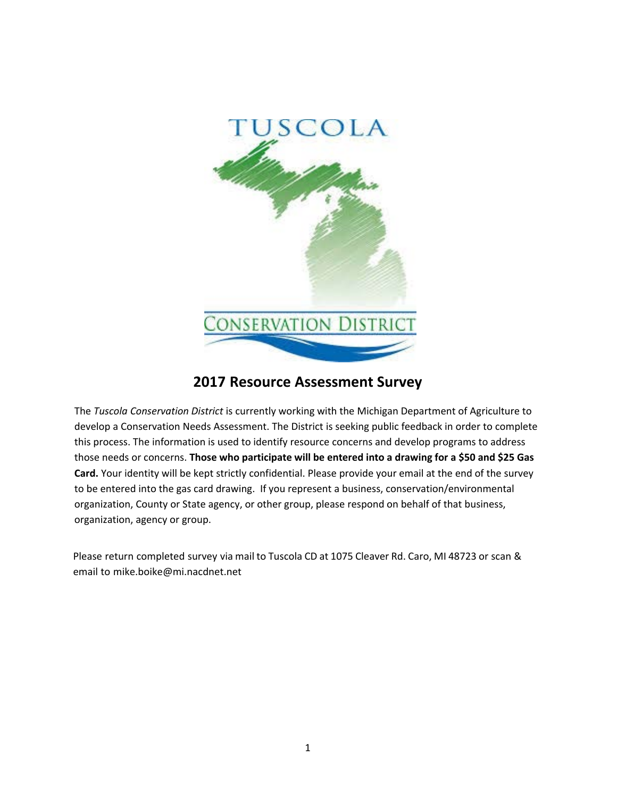

## **2022 Resource Assessment Survey**

**RETERORE** da Conservation District is currentl or in it te ic i an De art ent o riculture & Rural Development to evelop a on ervat on ee e ment eD tr t ee n pu l ee a nor er to omplete t pro e e n ormat on u e to ent re our e on ern an evelop pro ram to a re to enee or on ern Those who participate will be entered into a drawing for a \$50 and \$25 Gas Card. Your identity willbe kept strictly confidential. Pleaseprovide your email at the end of the survey to be entered into thegas card drawing. If you represent a business, conservation/environmental organizationCounty or State agency, or other group, please respond on behalf of that business, organization, agency or group.

P121511035581130303030301213131313131588112023801230818112131811213312152023136628777181138121831211213121 15101t0010101015.1t10101015l0101010101 1i1M101510l0101510